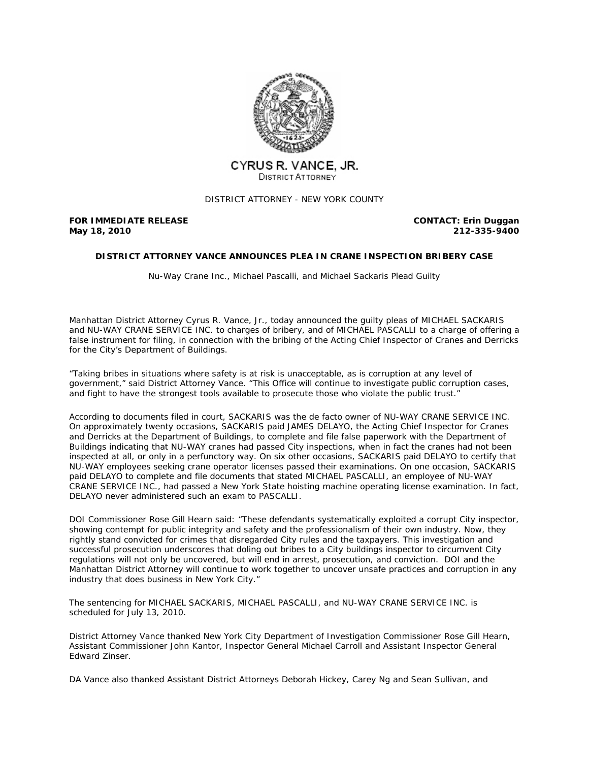

# CYRUS R. VANCE. JR. DISTRICT ATTORNEY

DISTRICT ATTORNEY - NEW YORK COUNTY

## **FOR IMMEDIATE RELEASE May 18, 2010**

**CONTACT: Erin Duggan 212-335-9400**

## **DISTRICT ATTORNEY VANCE ANNOUNCES PLEA IN CRANE INSPECTION BRIBERY CASE**

*Nu-Way Crane Inc., Michael Pascalli, and Michael Sackaris Plead Guilty*

Manhattan District Attorney Cyrus R. Vance, Jr., today announced the guilty pleas of MICHAEL SACKARIS and NU-WAY CRANE SERVICE INC. to charges of bribery, and of MICHAEL PASCALLI to a charge of offering a false instrument for filing, in connection with the bribing of the Acting Chief Inspector of Cranes and Derricks for the City's Department of Buildings.

"Taking bribes in situations where safety is at risk is unacceptable, as is corruption at any level of government," said District Attorney Vance. "This Office will continue to investigate public corruption cases, and fight to have the strongest tools available to prosecute those who violate the public trust."

According to documents filed in court, SACKARIS was the de facto owner of NU-WAY CRANE SERVICE INC. On approximately twenty occasions, SACKARIS paid JAMES DELAYO, the Acting Chief Inspector for Cranes and Derricks at the Department of Buildings, to complete and file false paperwork with the Department of Buildings indicating that NU-WAY cranes had passed City inspections, when in fact the cranes had not been inspected at all, or only in a perfunctory way. On six other occasions, SACKARIS paid DELAYO to certify that NU-WAY employees seeking crane operator licenses passed their examinations. On one occasion, SACKARIS paid DELAYO to complete and file documents that stated MICHAEL PASCALLI, an employee of NU-WAY CRANE SERVICE INC., had passed a New York State hoisting machine operating license examination. In fact, DELAYO never administered such an exam to PASCALLI.

DOI Commissioner Rose Gill Hearn said: "These defendants systematically exploited a corrupt City inspector, showing contempt for public integrity and safety and the professionalism of their own industry. Now, they rightly stand convicted for crimes that disregarded City rules and the taxpayers. This investigation and successful prosecution underscores that doling out bribes to a City buildings inspector to circumvent City regulations will not only be uncovered, but will end in arrest, prosecution, and conviction. DOI and the Manhattan District Attorney will continue to work together to uncover unsafe practices and corruption in any industry that does business in New York City."

The sentencing for MICHAEL SACKARIS, MICHAEL PASCALLI, and NU-WAY CRANE SERVICE INC. is scheduled for July 13, 2010.

District Attorney Vance thanked New York City Department of Investigation Commissioner Rose Gill Hearn, Assistant Commissioner John Kantor, Inspector General Michael Carroll and Assistant Inspector General Edward Zinser.

DA Vance also thanked Assistant District Attorneys Deborah Hickey, Carey Ng and Sean Sullivan, and